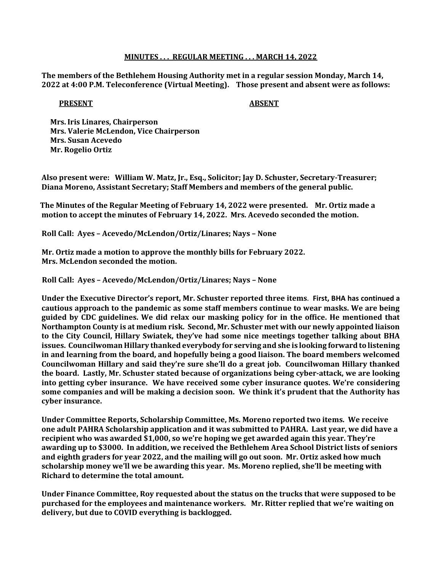## MINUTES . . . REGULAR MEETING . . . MARCH 14, 2022

The members of the Bethlehem Housing Authority met in a regular session Monday, March 14, 2022 at 4:00 P.M. Teleconference (Virtual Meeting). Those present and absent were as follows:

## PRESENT ABSENT

 Mrs. Iris Linares, Chairperson Mrs. Valerie McLendon, Vice Chairperson Mrs. Susan Acevedo Mr. Rogelio Ortiz

Also present were: William W. Matz, Jr., Esq., Solicitor; Jay D. Schuster, Secretary-Treasurer; Diana Moreno, Assistant Secretary; Staff Members and members of the general public.

 The Minutes of the Regular Meeting of February 14, 2022 were presented. Mr. Ortiz made a motion to accept the minutes of February 14, 2022. Mrs. Acevedo seconded the motion.

Roll Call: Ayes – Acevedo/McLendon/Ortiz/Linares; Nays – None

 Mr. Ortiz made a motion to approve the monthly bills for February 2022. Mrs. McLendon seconded the motion.

Roll Call: Ayes – Acevedo/McLendon/Ortiz/Linares; Nays – None

Under the Executive Director's report, Mr. Schuster reported three items. First, BHA has continued a cautious approach to the pandemic as some staff members continue to wear masks. We are being guided by CDC guidelines. We did relax our masking policy for in the office. He mentioned that Northampton County is at medium risk. Second, Mr. Schuster met with our newly appointed liaison to the City Council, Hillary Swiatek, they've had some nice meetings together talking about BHA issues. Councilwoman Hillary thanked everybody for serving and she is looking forward to listening in and learning from the board, and hopefully being a good liaison. The board members welcomed Councilwoman Hillary and said they're sure she'll do a great job. Councilwoman Hillary thanked the board. Lastly, Mr. Schuster stated because of organizations being cyber-attack, we are looking into getting cyber insurance. We have received some cyber insurance quotes. We're considering some companies and will be making a decision soon. We think it's prudent that the Authority has cyber insurance.

Under Committee Reports, Scholarship Committee, Ms. Moreno reported two items. We receive one adult PAHRA Scholarship application and it was submitted to PAHRA. Last year, we did have a recipient who was awarded \$1,000, so we're hoping we get awarded again this year. They're awarding up to \$3000. In addition, we received the Bethlehem Area School District lists of seniors and eighth graders for year 2022, and the mailing will go out soon. Mr. Ortiz asked how much scholarship money we'll we be awarding this year. Ms. Moreno replied, she'll be meeting with Richard to determine the total amount.

Under Finance Committee, Roy requested about the status on the trucks that were supposed to be purchased for the employees and maintenance workers. Mr. Ritter replied that we're waiting on delivery, but due to COVID everything is backlogged.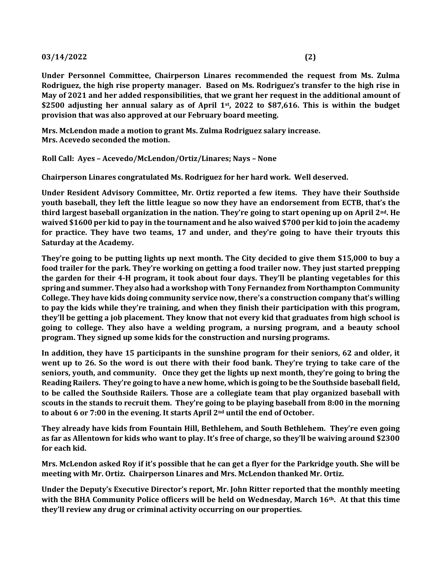## $03/14/2022$  (2)

Under Personnel Committee, Chairperson Linares recommended the request from Ms. Zulma Rodriguez, the high rise property manager. Based on Ms. Rodriguez's transfer to the high rise in May of 2021 and her added responsibilities, that we grant her request in the additional amount of \$2500 adjusting her annual salary as of April 1st, 2022 to \$87,616. This is within the budget provision that was also approved at our February board meeting.

 Mrs. McLendon made a motion to grant Ms. Zulma Rodriguez salary increase. Mrs. Acevedo seconded the motion.

Roll Call: Ayes – Acevedo/McLendon/Ortiz/Linares; Nays – None

Chairperson Linares congratulated Ms. Rodriguez for her hard work. Well deserved.

Under Resident Advisory Committee, Mr. Ortiz reported a few items. They have their Southside youth baseball, they left the little league so now they have an endorsement from ECTB, that's the third largest baseball organization in the nation. They're going to start opening up on April 2<sup>nd</sup>. He waived \$1600 per kid to pay in the tournament and he also waived \$700 per kid to join the academy for practice. They have two teams, 17 and under, and they're going to have their tryouts this Saturday at the Academy.

They're going to be putting lights up next month. The City decided to give them \$15,000 to buy a food trailer for the park. They're working on getting a food trailer now. They just started prepping the garden for their 4-H program, it took about four days. They'll be planting vegetables for this spring and summer. They also had a workshop with Tony Fernandez from Northampton Community College. They have kids doing community service now, there's a construction company that's willing to pay the kids while they're training, and when they finish their participation with this program, they'll be getting a job placement. They know that not every kid that graduates from high school is going to college. They also have a welding program, a nursing program, and a beauty school program. They signed up some kids for the construction and nursing programs.

In addition, they have 15 participants in the sunshine program for their seniors, 62 and older, it went up to 26. So the word is out there with their food bank. They're trying to take care of the seniors, youth, and community. Once they get the lights up next month, they're going to bring the Reading Railers. They're going to have a new home, which is going to be the Southside baseball field, to be called the Southside Railers. Those are a collegiate team that play organized baseball with scouts in the stands to recruit them. They're going to be playing baseball from 8:00 in the morning to about 6 or 7:00 in the evening. It starts April 2<sup>nd</sup> until the end of October.

They already have kids from Fountain Hill, Bethlehem, and South Bethlehem. They're even going as far as Allentown for kids who want to play. It's free of charge, so they'll be waiving around \$2300 for each kid.

Mrs. McLendon asked Roy if it's possible that he can get a flyer for the Parkridge youth. She will be meeting with Mr. Ortiz. Chairperson Linares and Mrs. McLendon thanked Mr. Ortiz.

Under the Deputy's Executive Director's report, Mr. John Ritter reported that the monthly meeting with the BHA Community Police officers will be held on Wednesday, March  $16<sup>th</sup>$ . At that this time they'll review any drug or criminal activity occurring on our properties.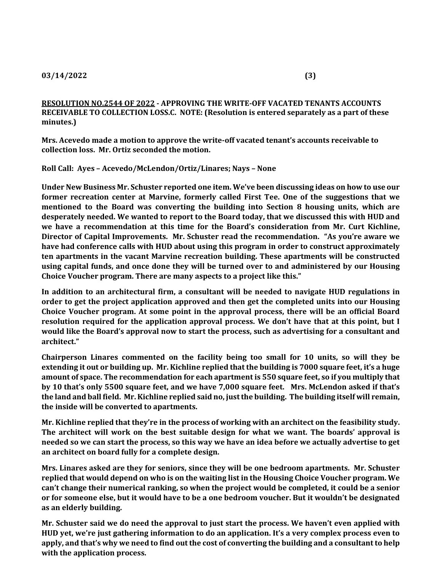RESOLUTION NO.2544 OF 2022 - APPROVING THE WRITE-OFF VACATED TENANTS ACCOUNTS RECEIVABLE TO COLLECTION LOSS.C. NOTE: (Resolution is entered separately as a part of these minutes.)

Mrs. Acevedo made a motion to approve the write-off vacated tenant's accounts receivable to collection loss. Mr. Ortiz seconded the motion.

Roll Call: Ayes – Acevedo/McLendon/Ortiz/Linares; Nays – None

Under New Business Mr. Schuster reported one item. We've been discussing ideas on how to use our former recreation center at Marvine, formerly called First Tee. One of the suggestions that we mentioned to the Board was converting the building into Section 8 housing units, which are desperately needed. We wanted to report to the Board today, that we discussed this with HUD and we have a recommendation at this time for the Board's consideration from Mr. Curt Kichline, Director of Capital Improvements. Mr. Schuster read the recommendation. "As you're aware we have had conference calls with HUD about using this program in order to construct approximately ten apartments in the vacant Marvine recreation building. These apartments will be constructed using capital funds, and once done they will be turned over to and administered by our Housing Choice Voucher program. There are many aspects to a project like this."

In addition to an architectural firm, a consultant will be needed to navigate HUD regulations in order to get the project application approved and then get the completed units into our Housing Choice Voucher program. At some point in the approval process, there will be an official Board resolution required for the application approval process. We don't have that at this point, but I would like the Board's approval now to start the process, such as advertising for a consultant and architect."

Chairperson Linares commented on the facility being too small for 10 units, so will they be extending it out or building up. Mr. Kichline replied that the building is 7000 square feet, it's a huge amount of space. The recommendation for each apartment is 550 square feet, so if you multiply that by 10 that's only 5500 square feet, and we have 7,000 square feet. Mrs. McLendon asked if that's the land and ball field. Mr. Kichline replied said no, just the building. The building itself will remain, the inside will be converted to apartments.

Mr. Kichline replied that they're in the process of working with an architect on the feasibility study. The architect will work on the best suitable design for what we want. The boards' approval is needed so we can start the process, so this way we have an idea before we actually advertise to get an architect on board fully for a complete design.

Mrs. Linares asked are they for seniors, since they will be one bedroom apartments. Mr. Schuster replied that would depend on who is on the waiting list in the Housing Choice Voucher program. We can't change their numerical ranking, so when the project would be completed, it could be a senior or for someone else, but it would have to be a one bedroom voucher. But it wouldn't be designated as an elderly building.

Mr. Schuster said we do need the approval to just start the process. We haven't even applied with HUD yet, we're just gathering information to do an application. It's a very complex process even to apply, and that's why we need to find out the cost of converting the building and a consultant to help with the application process.